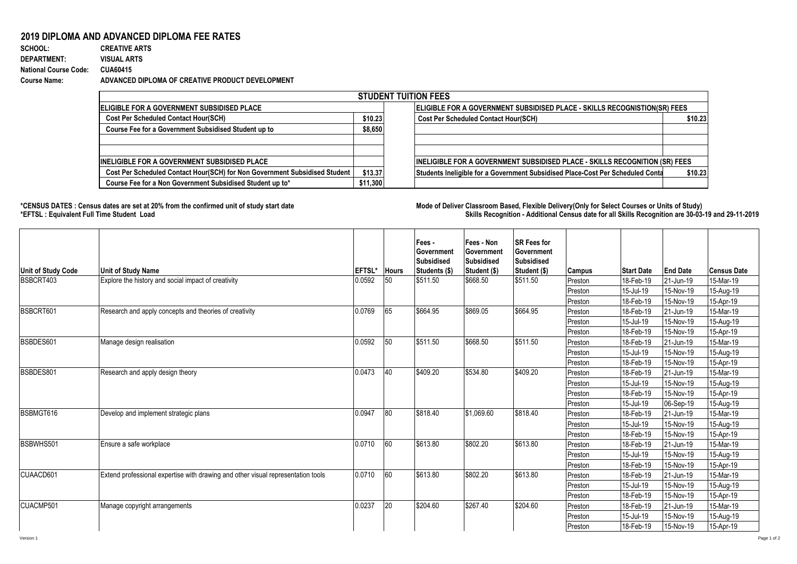## **2019 DIPLOMA AND ADVANCED DIPLOMA FEE RATES**

**SCHOOL: CREATIVE ARTS** 845 1 0.001183432 **DEPARTMENT: VISUAL ARTS National Course Code: CUA60415 Course Name: ADVANCED DIPLOMA OF CREATIVE PRODUCT DEVELOPMENT**

| <b>STUDENT TUITION FEES</b>                                                |          |                                                                                           |  |  |  |  |  |  |  |
|----------------------------------------------------------------------------|----------|-------------------------------------------------------------------------------------------|--|--|--|--|--|--|--|
| <b>IELIGIBLE FOR A GOVERNMENT SUBSIDISED PLACE</b>                         |          | <b>ELIGIBLE FOR A GOVERNMENT SUBSIDISED PLACE - SKILLS RECOGNISTION(SR) FEES</b>          |  |  |  |  |  |  |  |
| <b>Cost Per Scheduled Contact Hour(SCH)</b>                                | \$10.23  | <b>Cost Per Scheduled Contact Hour(SCH)</b><br>\$10.23                                    |  |  |  |  |  |  |  |
| Course Fee for a Government Subsidised Student up to                       | \$8,650  |                                                                                           |  |  |  |  |  |  |  |
|                                                                            |          |                                                                                           |  |  |  |  |  |  |  |
|                                                                            |          |                                                                                           |  |  |  |  |  |  |  |
| <b>IINELIGIBLE FOR A GOVERNMENT SUBSIDISED PLACE</b>                       |          | <b>INELIGIBLE FOR A GOVERNMENT SUBSIDISED PLACE - SKILLS RECOGNITION (SR) FEES</b>        |  |  |  |  |  |  |  |
| Cost Per Scheduled Contact Hour(SCH) for Non Government Subsidised Student | \$13.37  | Students Ineligible for a Government Subsidised Place-Cost Per Scheduled Conta<br>\$10.23 |  |  |  |  |  |  |  |
| Course Fee for a Non Government Subsidised Student up to*                  | \$11,300 |                                                                                           |  |  |  |  |  |  |  |

**\*CENSUS DATES : Census dates are set at 20% from the confirmed unit of study start date Mode of Delivery:Classroom Based, Flexible Delivery(Only for Select Courses or Units of Study) \*EFTSL : Equivalent Full Time Student Load Skills Recognition - Additional Census date for all Skills Recognition are 30-03-19 and 29-11-2019** 

| <b>Unit of Study Code</b> | <b>Unit of Study Name</b>                                                        | <b>EFTSL*</b> | <b>Hours</b> | Fees -<br>Government<br><b>Subsidised</b><br>Students (\$) | Fees - Non<br><b>Government</b><br>Subsidised<br>Student (\$) | <b>SR Fees for</b><br>Government<br><b>Subsidised</b><br>Student (\$) | <b>Campus</b> | <b>Start Date</b> | <b>End Date</b> | <b>Census Date</b> |
|---------------------------|----------------------------------------------------------------------------------|---------------|--------------|------------------------------------------------------------|---------------------------------------------------------------|-----------------------------------------------------------------------|---------------|-------------------|-----------------|--------------------|
| BSBCRT403                 | Explore the history and social impact of creativity                              | 0.0592        | 50           | \$511.50                                                   | \$668.50                                                      | \$511.50                                                              | Preston       | 18-Feb-19         | 21-Jun-19       | 15-Mar-19          |
|                           |                                                                                  |               |              |                                                            |                                                               |                                                                       | Preston       | 15-Jul-19         | 15-Nov-19       | 15-Aug-19          |
|                           |                                                                                  |               |              |                                                            |                                                               |                                                                       | Preston       | 18-Feb-19         | 15-Nov-19       | 15-Apr-19          |
| BSBCRT601                 | Research and apply concepts and theories of creativity                           | 0.0769        | 65           | \$664.95                                                   | \$869.05                                                      | \$664.95                                                              | Preston       | 18-Feb-19         | 21-Jun-19       | 15-Mar-19          |
|                           |                                                                                  |               |              |                                                            |                                                               |                                                                       | Preston       | 15-Jul-19         | 15-Nov-19       | 15-Aug-19          |
|                           |                                                                                  |               |              |                                                            |                                                               |                                                                       | Preston       | 18-Feb-19         | 15-Nov-19       | 15-Apr-19          |
| BSBDES601                 | Manage design realisation                                                        | 0.0592        | 50           | \$511.50                                                   | \$668.50                                                      | \$511.50                                                              | Preston       | 18-Feb-19         | 21-Jun-19       | 15-Mar-19          |
|                           |                                                                                  |               |              |                                                            |                                                               |                                                                       | Preston       | 15-Jul-19         | 15-Nov-19       | 15-Aug-19          |
|                           |                                                                                  |               |              |                                                            |                                                               |                                                                       | Preston       | 18-Feb-19         | 15-Nov-19       | 15-Apr-19          |
| BSBDES801                 | Research and apply design theory                                                 | 0.0473        | 40           | \$409.20                                                   | \$534.80                                                      | \$409.20                                                              | Preston       | 18-Feb-19         | 21-Jun-19       | 15-Mar-19          |
|                           |                                                                                  |               |              |                                                            |                                                               |                                                                       | Preston       | 15-Jul-19         | 15-Nov-19       | 15-Aug-19          |
|                           |                                                                                  |               |              |                                                            |                                                               |                                                                       | Preston       | 18-Feb-19         | 15-Nov-19       | 15-Apr-19          |
|                           |                                                                                  |               |              |                                                            |                                                               |                                                                       | Preston       | 15-Jul-19         | 06-Sep-19       | 15-Aug-19          |
| BSBMGT616                 | Develop and implement strategic plans                                            | 0.0947        | 80           | \$818.40                                                   | \$1.069.60                                                    | \$818.40                                                              | Preston       | 18-Feb-19         | 21-Jun-19       | 15-Mar-19          |
|                           |                                                                                  |               |              |                                                            |                                                               |                                                                       | Preston       | 15-Jul-19         | 15-Nov-19       | 15-Aug-19          |
|                           |                                                                                  |               |              |                                                            |                                                               |                                                                       | Preston       | 18-Feb-19         | 15-Nov-19       | 15-Apr-19          |
| BSBWHS501                 | Ensure a safe workplace                                                          | 0.0710        | 60           | \$613.80                                                   | \$802.20                                                      | \$613.80                                                              | Preston       | 18-Feb-19         | 21-Jun-19       | 15-Mar-19          |
|                           |                                                                                  |               |              |                                                            |                                                               |                                                                       | Preston       | 15-Jul-19         | 15-Nov-19       | 15-Aug-19          |
|                           |                                                                                  |               |              |                                                            |                                                               |                                                                       | Preston       | 18-Feb-19         | 15-Nov-19       | 15-Apr-19          |
| CUAACD601                 | Extend professional expertise with drawing and other visual representation tools | 0.0710        | 60           | \$613.80                                                   | \$802.20                                                      | \$613.80                                                              | Preston       | 18-Feb-19         | 21-Jun-19       | 15-Mar-19          |
|                           |                                                                                  |               |              |                                                            |                                                               |                                                                       | Preston       | 15-Jul-19         | 15-Nov-19       | 15-Aug-19          |
|                           |                                                                                  |               |              |                                                            |                                                               |                                                                       | Preston       | 18-Feb-19         | 15-Nov-19       | 15-Apr-19          |
| CUACMP501                 | Manage copyright arrangements                                                    | 0.0237        | 20           | \$204.60                                                   | \$267.40                                                      | \$204.60                                                              | Preston       | 18-Feb-19         | 21-Jun-19       | 15-Mar-19          |
|                           |                                                                                  |               |              |                                                            |                                                               |                                                                       | Preston       | 15-Jul-19         | 15-Nov-19       | 15-Aug-19          |
|                           |                                                                                  |               |              |                                                            |                                                               |                                                                       | Preston       | 18-Feb-19         | 15-Nov-19       | 15-Apr-19          |